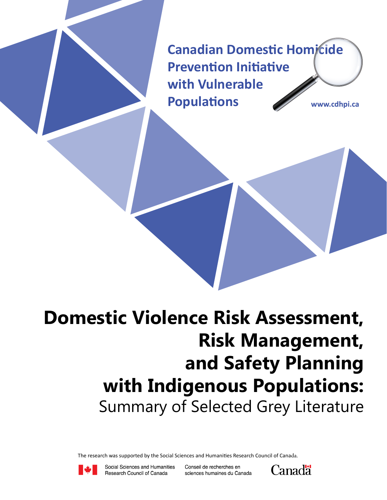**Canadian Domestic Homicide Prevention Initiative with Vulnerable Populations www.cdhpi.ca**

# **Domestic Violence Risk Assessment, Risk Management, and Safety Planning with Indigenous Populations:** Summary of Selected Grey Literature

The research was supported by the Social Sciences and Humanities Research Council of Canada.



Social Sciences and Humanities Research Council of Canada

Conseil de recherches en sciences humaines du Canada

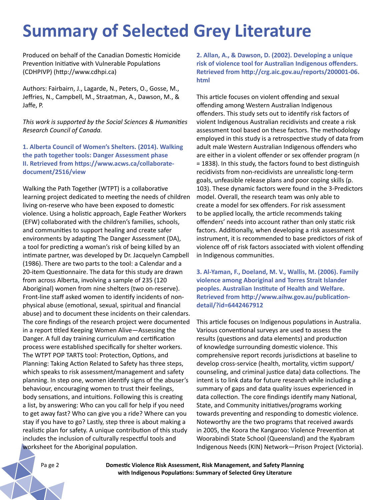## **Summary of Selected Grey Literature**

Produced on behalf of the Canadian Domestic Homicide Prevention Initiative with Vulnerable Populations (CDHPIVP) (http://www.cdhpi.ca)

Authors: Fairbairn, J., Lagarde, N., Peters, O., Gosse, M., Jeffries, N., Campbell, M., Straatman, A., Dawson, M., & Jaffe, P.

*This work is supported by the Social Sciences & Humanities Research Council of Canada.*

**1. Alberta Council of Women's Shelters. (2014). Walking the path together tools: Danger Assessment phase II. Retrieved from https://www.acws.ca/collaboratedocument/2516/view** 

Walking the Path Together (WTPT) is a collaborative learning project dedicated to meeting the needs of children living on-reserve who have been exposed to domestic violence. Using a holistic approach, Eagle Feather Workers (EFW) collaborated with the children's families, schools, and communities to support healing and create safer environments by adapting The Danger Assessment (DA), a tool for predicting a woman's risk of being killed by an intimate partner, was developed by Dr. Jacquelyn Campbell (1986). There are two parts to the tool: a Calendar and a 20-item Questionnaire. The data for this study are drawn from across Alberta, involving a sample of 235 (120 Aboriginal) women from nine shelters (two on-reserve). Front-line staff asked women to identify incidents of nonphysical abuse (emotional, sexual, spiritual and financial abuse) and to document these incidents on their calendars. The core findings of the research project were documented in a report titled Keeping Women Alive—Assessing the Danger. A full day training curriculum and certification process were established specifically for shelter workers. The WTPT POP TARTS tool: Protection, Options, and Planning: Taking Action Related to Safety has three steps, which speaks to risk assessment/management and safety planning. In step one, women identify signs of the abuser's behaviour, encouraging women to trust their feelings, body sensations, and intuitions. Following this is creating a list, by answering: Who can you call for help if you need to get away fast? Who can give you a ride? Where can you stay if you have to go? Lastly, step three is about making a realistic plan for safety. A unique contribution of this study includes the inclusion of culturally respectful tools and worksheet for the Aboriginal population.

**2. Allan, A., & Dawson, D. (2002). Developing a unique risk of violence tool for Australian Indigenous offenders. Retrieved from http://crg.aic.gov.au/reports/200001-06. html** 

This article focuses on violent offending and sexual offending among Western Australian Indigenous offenders. This study sets out to identify risk factors of violent Indigenous Australian recidivists and create a risk assessment tool based on these factors. The methodology employed in this study is a retrospective study of data from adult male Western Australian Indigenous offenders who are either in a violent offender or sex offender program (n = 1838). In this study, the factors found to best distinguish recidivists from non-recidivists are unrealistic long-term goals, unfeasible release plans and poor coping skills (p. 103). These dynamic factors were found in the 3-Predictors model. Overall, the research team was only able to create a model for sex offenders. For risk assessment to be applied locally, the article recommends taking offenders' needs into account rather than only static risk factors. Additionally, when developing a risk assessment instrument, it is recommended to base predictors of risk of violence off of risk factors associated with violent offending in Indigenous communities.

**3. Al-Yaman, F., Doeland, M. V., Wallis, M. (2006). Family violence among Aboriginal and Torres Strait Islander peoples. Australian Institute of Health and Welfare. Retrieved from http://www.aihw.gov.au/publicationdetail/?id=6442467912** 

This article focuses on Indigenous populations in Australia. Various conventional surveys are used to assess the results (questions and data elements) and production of knowledge surrounding domestic violence. This comprehensive report records jurisdictions at baseline to develop cross-service (health, mortality, victim support/ counseling, and criminal justice data) data collections. The intent is to link data for future research while including a summary of gaps and data quality issues experienced in data collection. The core findings identify many National, State, and Community initiatives/programs working towards preventing and responding to domestic violence. Noteworthy are the two programs that received awards in 2005, the Koora the Kangaroo: Violence Prevention at Woorabindi State School (Queensland) and the Kyabram Indigenous Needs (KIN) Network—Prison Project (Victoria).

Pa ge 2 **Domestic Violence Risk Assessment, Risk Management, and Safety Planning with Indigenous Populations: Summary of Selected Grey Literature**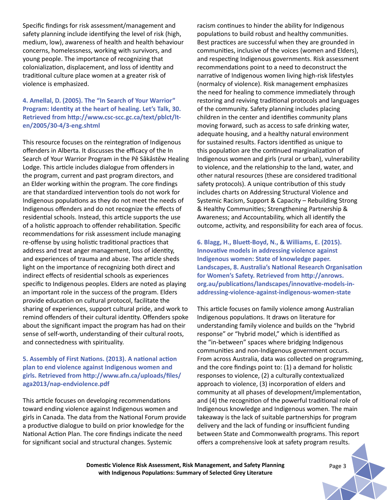Specific findings for risk assessment/management and safety planning include identifying the level of risk (high, medium, low), awareness of health and health behaviour concerns, homelessness, working with survivors, and young people. The importance of recognizing that colonialization, displacement, and loss of identity and traditional culture place women at a greater risk of violence is emphasized.

## **4. Amellal, D. (2005). The "In Search of Your Warrior" Program: Identity at the heart of healing. Let's Talk, 30. Retrieved from http://www.csc-scc.gc.ca/text/pblct/lten/2005/30-4/3-eng.shtml**

This resource focuses on the reintegration of Indigenous offenders in Alberta. It discusses the efficacy of the In Search of Your Warrior Program in the Pê Sâkâstêw Healing Lodge. This article includes dialogue from offenders in the program, current and past program directors, and an Elder working within the program. The core findings are that standardized intervention tools do not work for Indigenous populations as they do not meet the needs of Indigenous offenders and do not recognize the effects of residential schools. Instead, this article supports the use of a holistic approach to offender rehabilitation. Specific recommendations for risk assessment include managing re-offense by using holistic traditional practices that address and treat anger management, loss of identity, and experiences of trauma and abuse. The article sheds light on the importance of recognizing both direct and indirect effects of residential schools as experiences specific to Indigenous peoples. Elders are noted as playing an important role in the success of the program. Elders provide education on cultural protocol, facilitate the sharing of experiences, support cultural pride, and work to remind offenders of their cultural identity. Offenders spoke about the significant impact the program has had on their sense of self-worth, understanding of their cultural roots, and connectedness with spirituality.

## **5. Assembly of First Nations. (2013). A national action plan to end violence against Indigenous women and girls. Retrieved from http://www.afn.ca/uploads/files/ aga2013/nap-endviolence.pdf**

This article focuses on developing recommendations toward ending violence against Indigenous women and girls in Canada. The data from the National Forum provide a productive dialogue to build on prior knowledge for the National Action Plan. The core findings indicate the need for significant social and structural changes. Systemic

racism continues to hinder the ability for Indigenous populations to build robust and healthy communities. Best practices are successful when they are grounded in communities, inclusive of the voices (women and Elders), and respecting Indigenous governments. Risk assessment recommendations point to a need to deconstruct the narrative of Indigenous women living high-risk lifestyles (normalcy of violence). Risk management emphasizes the need for healing to commence immediately through restoring and reviving traditional protocols and languages of the community. Safety planning includes placing children in the center and identifies community plans moving forward, such as access to safe drinking water, adequate housing, and a healthy natural environment for sustained results. Factors identified as unique to this population are the continued marginalization of Indigenous women and girls (rural or urban), vulnerability to violence, and the relationship to the land, water, and other natural resources (these are considered traditional safety protocols). A unique contribution of this study includes charts on Addressing Structural Violence and Systemic Racism, Support & Capacity – Rebuilding Strong & Healthy Communities; Strengthening Partnership & Awareness; and Accountability, which all identify the outcome, activity, and responsibility for each area of focus.

**6. Blagg, H., Bluett-Boyd, N., & Williams, E. (2015). Innovative models in addressing violence against Indigenous women: State of knowledge paper. Landscapes, 8. Australia's National Research Organisation for Women's Safety. Retrieved from http://anrows. org.au/publications/landscapes/innovative-models-inaddressing-violence-against-indigenous-women-state**

This article focuses on family violence among Australian Indigenous populations. It draws on literature for understanding family violence and builds on the "hybrid response" or "hybrid model," which is identified as the "in-between" spaces where bridging Indigenous communities and non-Indigenous government occurs. From across Australia, data was collected on programming, and the core findings point to: (1) a demand for holistic responses to violence, (2) a culturally contextualized approach to violence, (3) incorporation of elders and community at all phases of development/implementation, and (4) the recognition of the powerful traditional role of Indigenous knowledge and Indigenous women. The main takeaway is the lack of suitable partnerships for program delivery and the lack of funding or insufficient funding between State and Commonwealth programs. This report offers a comprehensive look at safety program results.

**Domestic Violence Risk Assessment, Risk Management, and Safety Planning** *Page 3* **with Indigenous Populations: Summary of Selected Grey Literature**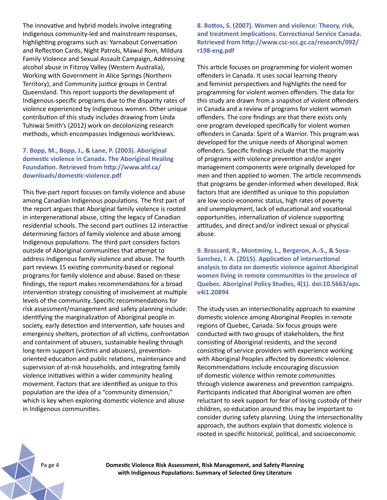The innovative and hybrid models involve integrating Indigenous community-led and mainstream responses, highlighting programs such as: Yarnabout Conversation and Reflection Cards, Night Patrols, Mawul Rom, Mildura Family Violence and Sexual Assault Campaign, Addressing alcohol abuse in Fitzroy Valley (Western Australia), Working with Government in Alice Springs (Northern Territory), and Community justice groups in Central Queensland. This report supports the development of Indigenous-specific programs due to the disparity rates of violence experienced by Indigenous women. Other unique contribution of this study includes drawing from Linda Tuhiwai Smith's (2012) work on decolonizing research methods, which encompasses Indigenous worldviews.

## **7. Bopp, M., Bopp, J., & Lane, P. (2003). Aboriginal domestic violence in Canada. The Aboriginal Healing Foundation. Retrieved from http://www.ahf.ca/ downloads/domestic-violence.pdf**

This five-part report focuses on family violence and abuse among Canadian Indigenous populations. The first part of the report argues that Aboriginal family violence is rooted in intergenerational abuse, citing the legacy of Canadian residential schools. The second part outlines 12 interactive determining factors of family violence and abuse among Indigenous populations. The third part considers factors outside of Aboriginal communities that attempt to address Indigenous family violence and abuse. The fourth part reviews 15 existing community-based or regional programs for family violence and abuse. Based on these findings, the report makes recommendations for a broad intervention strategy consisting of involvement at multiple levels of the community. Specific recommendations for risk assessment/management and safety planning include: identifying the marginalization of Aboriginal people in society, early detection and intervention, safe houses and emergency shelters, protection of all victims, confrontation and containment of abusers, sustainable healing through long-term support (victims and abusers), preventionoriented education and public relations, maintenance and supervision of at-risk households, and integrating family violence initiatives within a wider community healing movement. Factors that are identified as unique to this population are the idea of a "community dimension," which is key when exploring domestic violence and abuse in Indigenous communities.

**8. Bottos, S. (2007). Women and violence: Theory, risk, and treatment implications. Correctional Service Canada. Retrieved from http://www.csc-scc.gc.ca/research/092/ r198-eng.pdf** 

This article focuses on programming for violent women offenders in Canada. It uses social learning theory and feminist perspectives and highlights the need for programming for violent women offenders. The data for this study are drawn from a snapshot of violent offenders in Canada and a review of programs for violent women offenders. The core findings are that there exists only one program developed specifically for violent women offenders in Canada: Spirit of a Warrior. This program was developed for the unique needs of Aboriginal women offenders. Specific findings include that the majority of programs with violence prevention and/or anger management components were originally developed for men and then applied to women. The article recommends that programs be gender-informed when developed. Risk factors that are identified as unique to this population are low socio-economic status, high rates of poverty and unemployment, lack of educational and vocational opportunities, internalization of violence supporting attitudes, and direct and/or indirect sexual or physical abuse.

**9. Brassard, R., Montminy, L., Bergeron, A.-S., & Sosa-Sanchez, I. A. (2015). Application of intersectional analysis to data on domestic violence against Aboriginal women living in remote communities in the province of Quebec. Aboriginal Policy Studies, 4(1). doi:10.5663/aps. v4i1.20894**

The study uses an intersectionality approach to examine domestic violence among Aboriginal Peoples in remote regions of Quebec, Canada. Six focus groups were conducted with two groups of stakeholders, the first consisting of Aboriginal residents, and the second consisting of service providers with experience working with Aboriginal Peoples affected by domestic violence. Recommendations include encouraging discussion of domestic violence within remote communities through violence awareness and prevention campaigns. Participants indicated that Aboriginal women are often reluctant to seek support for fear of losing custody of their children, so education around this may be important to consider during safety planning. Using the intersectionality approach, the authors explain that domestic violence is rooted in specific historical, political, and socioeconomic

Pa ge 4 **Domestic Violence Risk Assessment, Risk Management, and Safety Planning with Indigenous Populations: Summary of Selected Grey Literature**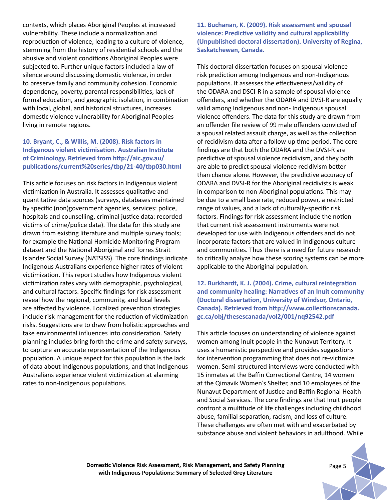contexts, which places Aboriginal Peoples at increased vulnerability. These include a normalization and reproduction of violence, leading to a culture of violence, stemming from the history of residential schools and the abusive and violent conditions Aboriginal Peoples were subjected to. Further unique factors included a law of silence around discussing domestic violence, in order to preserve family and community cohesion. Economic dependency, poverty, parental responsibilities, lack of formal education, and geographic isolation, in combination with local, global, and historical structures, increases domestic violence vulnerability for Aboriginal Peoples living in remote regions.

## **10. Bryant, C., & Willis, M. (2008). Risk factors in Indigenous violent victimisation. Australian Institute of Criminology. Retrieved from http://aic.gov.au/ publications/current%20series/tbp/21-40/tbp030.html**

This article focuses on risk factors in Indigenous violent victimization in Australia. It assesses qualitative and quantitative data sources (surveys, databases maintained by specific (non)government agencies, services: police, hospitals and counselling, criminal justice data: recorded victims of crime/police data). The data for this study are drawn from existing literature and multiple survey tools; for example the National Homicide Monitoring Program dataset and the National Aboriginal and Torres Strait Islander Social Survey (NATSISS). The core findings indicate Indigenous Australians experience higher rates of violent victimization. This report studies how Indigenous violent victimization rates vary with demographic, psychological, and cultural factors. Specific findings for risk assessment reveal how the regional, community, and local levels are affected by violence. Localized prevention strategies include risk management for the reduction of victimization risks. Suggestions are to draw from holistic approaches and take environmental influences into consideration. Safety planning includes bring forth the crime and safety surveys, to capture an accurate representation of the Indigenous population. A unique aspect for this population is the lack of data about Indigenous populations, and that Indigenous Australians experience violent victimization at alarming rates to non-Indigenous populations.

**11. Buchanan, K. (2009). Risk assessment and spousal violence: Predictive validity and cultural applicability (Unpublished doctoral dissertation). University of Regina, Saskatchewan, Canada.**

This doctoral dissertation focuses on spousal violence risk prediction among Indigenous and non-Indigenous populations. It assesses the effectiveness/validity of the ODARA and DSCI-R in a sample of spousal violence offenders, and whether the ODARA and DVSI-R are equally valid among Indigenous and non- Indigenous spousal violence offenders. The data for this study are drawn from an offender file review of 99 male offenders convicted of a spousal related assault charge, as well as the collection of recidivism data after a follow-up time period. The core findings are that both the ODARA and the DVSI-R are predictive of spousal violence recidivism, and they both are able to predict spousal violence recidivism better than chance alone. However, the predictive accuracy of ODARA and DVSI-R for the Aboriginal recidivists is weak in comparison to non-Aboriginal populations. This may be due to a small base rate, reduced power, a restricted range of values, and a lack of culturally-specific risk factors. Findings for risk assessment include the notion that current risk assessment instruments were not developed for use with Indigenous offenders and do not incorporate factors that are valued in Indigenous culture and communities. Thus there is a need for future research to critically analyze how these scoring systems can be more applicable to the Aboriginal population.

**12. Burkhardt, K. J. (2004). Crime, cultural reintegration and community healing: Narratives of an Inuit community (Doctoral dissertation, University of Windsor, Ontario, Canada). Retrieved from http://www.collectionscanada. gc.ca/obj/thesescanada/vol2/001/nq92542.pdf**

This article focuses on understanding of violence against women among Inuit people in the Nunavut Territory. It uses a humanistic perspective and provides suggestions for intervention programming that does not re-victimize women. Semi-structured interviews were conducted with 15 inmates at the Baffin Correctional Centre, 14 women at the Qimavik Women's Shelter, and 10 employees of the Nunavut Department of Justice and Baffin Regional Health and Social Services. The core findings are that Inuit people confront a multitude of life challenges including childhood abuse, familial separation, racism, and loss of culture. These challenges are often met with and exacerbated by substance abuse and violent behaviors in adulthood. While

**Domestic Violence Risk Assessment, Risk Management, and Safety Planning Page 5 Page 5 with Indigenous Populations: Summary of Selected Grey Literature**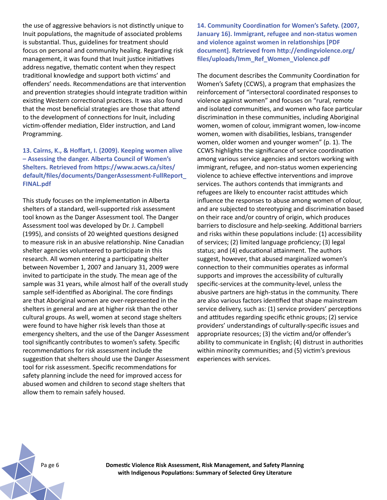the use of aggressive behaviors is not distinctly unique to Inuit populations, the magnitude of associated problems is substantial. Thus, guidelines for treatment should focus on personal and community healing. Regarding risk management, it was found that Inuit justice initiatives address negative, thematic content when they respect traditional knowledge and support both victims' and offenders' needs. Recommendations are that intervention and prevention strategies should integrate tradition within existing Western correctional practices. It was also found that the most beneficial strategies are those that attend to the development of connections for Inuit, including victim-offender mediation, Elder instruction, and Land Programming.

## **13. Cairns, K., & Hoffart, I. (2009). Keeping women alive – Assessing the danger. Alberta Council of Women's Shelters. Retrieved from https://www.acws.ca/sites/ default/files/documents/DangerAssessment-FullReport\_ FINAL.pdf**

This study focuses on the implementation in Alberta shelters of a standard, well-supported risk assessment tool known as the Danger Assessment tool. The Danger Assessment tool was developed by Dr. J. Campbell (1995), and consists of 20 weighted questions designed to measure risk in an abusive relationship. Nine Canadian shelter agencies volunteered to participate in this research. All women entering a participating shelter between November 1, 2007 and January 31, 2009 were invited to participate in the study. The mean age of the sample was 31 years, while almost half of the overall study sample self-identified as Aboriginal. The core findings are that Aboriginal women are over-represented in the shelters in general and are at higher risk than the other cultural groups. As well, women at second stage shelters were found to have higher risk levels than those at emergency shelters, and the use of the Danger Assessment tool significantly contributes to women's safety. Specific recommendations for risk assessment include the suggestion that shelters should use the Danger Assessment tool for risk assessment. Specific recommendations for safety planning include the need for improved access for abused women and children to second stage shelters that allow them to remain safely housed.

**14. Community Coordination for Women's Safety. (2007, January 16). Immigrant, refugee and non-status women and violence against women in relationships [PDF document]. Retrieved from http://endingviolence.org/ files/uploads/Imm\_Ref\_Women\_Violence.pdf**

The document describes the Community Coordination for Women's Safety (CCWS), a program that emphasizes the reinforcement of "intersectoral coordinated responses to violence against women" and focuses on "rural, remote and isolated communities, and women who face particular discrimination in these communities, including Aboriginal women, women of colour, immigrant women, low-income women, women with disabilities, lesbians, transgender women, older women and younger women" (p. 1). The CCWS highlights the significance of service coordination among various service agencies and sectors working with immigrant, refugee, and non-status women experiencing violence to achieve effective interventions and improve services. The authors contends that immigrants and refugees are likely to encounter racist attitudes which influence the responses to abuse among women of colour, and are subjected to stereotyping and discrimination based on their race and/or country of origin, which produces barriers to disclosure and help-seeking. Additional barriers and risks within these populations include: (1) accessibility of services; (2) limited language proficiency; (3) legal status; and (4) educational attainment. The authors suggest, however, that abused marginalized women's connection to their communities operates as informal supports and improves the accessibility of culturally specific-services at the community-level, unless the abusive partners are high-status in the community. There are also various factors identified that shape mainstream service delivery, such as: (1) service providers' perceptions and attitudes regarding specific ethnic groups; (2) service providers' understandings of culturally-specific issues and appropriate resources; (3) the victim and/or offender's ability to communicate in English; (4) distrust in authorities within minority communities; and (5) victim's previous experiences with services.

Pa ge 6 **Domestic Violence Risk Assessment, Risk Management, and Safety Planning with Indigenous Populations: Summary of Selected Grey Literature**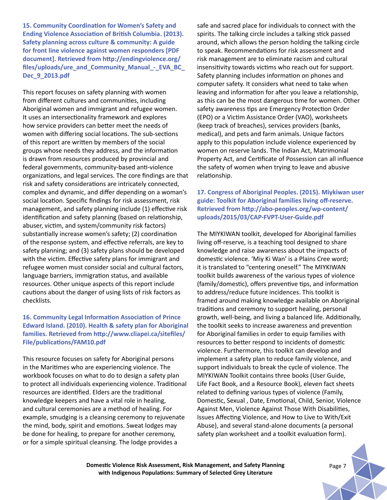**15. Community Coordination for Women's Safety and Ending Violence Association of British Columbia. (2013). Safety planning across culture & community: A guide for front line violence against women responders [PDF document]. Retrieved from http://endingviolence.org/ files/uploads/ure\_and\_Community\_Manual\_-\_EVA\_BC\_ Dec\_9\_2013.pdf** 

This report focuses on safety planning with women from different cultures and communities, including Aboriginal women and immigrant and refugee women. It uses an intersectionality framework and explores how service providers can better meet the needs of women with differing social locations. The sub-sections of this report are written by members of the social groups whose needs they address, and the information is drawn from resources produced by provincial and federal governments, community-based anti-violence organizations, and legal services. The core findings are that risk and safety considerations are intricately connected, complex and dynamic, and differ depending on a woman's social location. Specific findings for risk assessment, risk management, and safety planning include (1) effective risk identification and safety planning (based on relationship, abuser, victim, and system/community risk factors) substantially increase women's safety; (2) coordination of the response system, and effective referrals, are key to safety planning; and (3) safety plans should be developed with the victim. Effective safety plans for immigrant and refugee women must consider social and cultural factors, language barriers, immigration status, and available resources. Other unique aspects of this report include cautions about the danger of using lists of risk factors as checklists.

## **16. Community Legal Information Association of Prince Edward Island. (2010). Health & safety plan for Aboriginal families. Retrieved from http://www.cliapei.ca/sitefiles/ File/publications/FAM10.pdf**

This resource focuses on safety for Aboriginal persons in the Maritimes who are experiencing violence. The workbook focuses on what to do to design a safety plan to protect all individuals experiencing violence. Traditional resources are identified. Elders are the traditional knowledge keepers and have a vital role in healing, and cultural ceremonies are a method of healing. For example, smudging is a cleansing ceremony to rejuvenate the mind, body, spirit and emotions. Sweat lodges may be done for healing, to prepare for another ceremony, or for a simple spiritual cleansing. The lodge provides a

safe and sacred place for individuals to connect with the spirits. The talking circle includes a talking stick passed around, which allows the person holding the talking circle to speak. Recommendations for risk assessment and risk management are to eliminate racism and cultural insensitivity towards victims who reach out for support. Safety planning includes information on phones and computer safety. It considers what need to take when leaving and information for after you leave a relationship, as this can be the most dangerous time for women. Other safety awareness tips are Emergency Protection Order (EPO) or a Victim Assistance Order (VAO), worksheets (keep track of breaches), services providers (banks, medical), and pets and farm animals. Unique factors apply to this population include violence experienced by women on reserve lands. The Indian Act, Matrimonial Property Act, and Certificate of Possession can all influence the safety of women when trying to leave and abusive relationship.

## **17. Congress of Aboriginal Peoples. (2015). Miykiwan user guide: Toolkit for Aboriginal families living off-reserve. Retrieved from http://abo-peoples.org/wp-content/ uploads/2015/03/CAP-FVPT-User-Guide.pdf**

The MIYKIWAN toolkit, developed for Aboriginal families living off-reserve, is a teaching tool designed to share knowledge and raise awareness about the impacts of domestic violence. 'Miy Ki Wan' is a Plains Cree word; it is translated to "centering oneself." The MIYKIWAN toolkit builds awareness of the various types of violence (family/domestic), offers preventive tips, and information to address/reduce future incidences. This toolkit is framed around making knowledge available on Aboriginal traditions and ceremony to support healing, personal growth, well-being, and living a balanced life. Additionally, the toolkit seeks to increase awareness and prevention for Aboriginal families in order to equip families with resources to better respond to incidents of domestic violence. Furthermore, this toolkit can develop and implement a safety plan to reduce family violence, and support individuals to break the cycle of violence. The MIYKIWAN Toolkit contains three books (User Guide, Life Fact Book, and a Resource Book), eleven fact sheets related to defining various types of violence (Family, Domestic, Sexual , Date, Emotional, Child, Senior, Violence Against Men, Violence Against Those With Disabilities, Issues Affecting Violence, and How to Live to With/Exit Abuse), and several stand-alone documents (a personal safety plan worksheet and a toolkit evaluation form).

**Domestic Violence Risk Assessment, Risk Management, and Safety Planning** *Page 7* **with Indigenous Populations: Summary of Selected Grey Literature**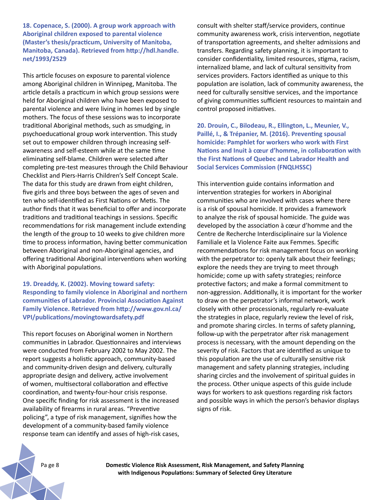**18. Copenace, S. (2000). A group work approach with Aboriginal children exposed to parental violence (Master's thesis/practicum, University of Manitoba, Manitoba, Canada). Retrieved from http://hdl.handle. net/1993/2529**

This article focuses on exposure to parental violence among Aboriginal children in Winnipeg, Manitoba. The article details a practicum in which group sessions were held for Aboriginal children who have been exposed to parental violence and were living in homes led by single mothers. The focus of these sessions was to incorporate traditional Aboriginal methods, such as smudging, in psychoeducational group work intervention. This study set out to empower children through increasing selfawareness and self-esteem while at the same time eliminating self-blame. Children were selected after completing pre-test measures through the Child Behaviour Checklist and Piers-Harris Children's Self Concept Scale. The data for this study are drawn from eight children, five girls and three boys between the ages of seven and ten who self-identified as First Nations or Metis. The author finds that it was beneficial to offer and incorporate traditions and traditional teachings in sessions. Specific recommendations for risk management include extending the length of the group to 10 weeks to give children more time to process information, having better communication between Aboriginal and non-Aboriginal agencies, and offering traditional Aboriginal interventions when working with Aboriginal populations.

## **19. Dreaddy, K. (2002). Moving toward safety: Responding to family violence in Aboriginal and northern communities of Labrador. Provincial Association Against Family Violence. Retrieved from http://www.gov.nl.ca/ VPI/publications/movingtowardsafety.pdf**

This report focuses on Aboriginal women in Northern communities in Labrador. Questionnaires and interviews were conducted from February 2002 to May 2002. The report suggests a holistic approach, community-based and community-driven design and delivery, culturally appropriate design and delivery, active involvement of women, multisectoral collaboration and effective coordination, and twenty-four-hour crisis response. One specific finding for risk assessment is the increased availability of firearms in rural areas. "Preventive policing", a type of risk management, signifies how the development of a community-based family violence response team can identify and asses of high-risk cases,

consult with shelter staff/service providers, continue community awareness work, crisis intervention, negotiate of transportation agreements, and shelter admissions and transfers. Regarding safety planning, it is important to consider confidentiality, limited resources, stigma, racism, internalized blame, and lack of cultural sensitivity from services providers. Factors identified as unique to this population are isolation, lack of community awareness, the need for culturally sensitive services, and the importance of giving communities sufficient resources to maintain and control proposed initiatives.

**20. Drouin, C., Bilodeau, R., Ellington, L., Meunier, V., Paillé, I., & Trépanier, M. (2016). Preventing spousal homicide: Pamphlet for workers who work with First Nations and Inuit à cœur d'homme, in collaboration with the First Nations of Quebec and Labrador Health and Social Services Commission (FNQLHSSC)** 

This intervention guide contains information and intervention strategies for workers in Aboriginal communities who are involved with cases where there is a risk of spousal homicide. It provides a framework to analyze the risk of spousal homicide. The guide was developed by the association à cœur d'homme and the Centre de Recherche Interdisciplinaire sur la Violence Familiale et la Violence Faite aux Femmes. Specific recommendations for risk management focus on working with the perpetrator to: openly talk about their feelings; explore the needs they are trying to meet through homicide; come up with safety strategies; reinforce protective factors; and make a formal commitment to non-aggression. Additionally, it is important for the worker to draw on the perpetrator's informal network, work closely with other processionals, regularly re-evaluate the strategies in place, regularly review the level of risk, and promote sharing circles. In terms of safety planning, follow-up with the perpetrator after risk management process is necessary, with the amount depending on the severity of risk. Factors that are identified as unique to this population are the use of culturally sensitive risk management and safety planning strategies, including sharing circles and the involvement of spiritual guides in the process. Other unique aspects of this guide include ways for workers to ask questions regarding risk factors and possible ways in which the person's behavior displays signs of risk.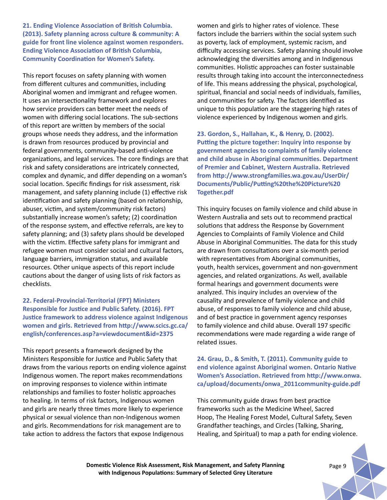**21. Ending Violence Association of British Columbia. (2013). Safety planning across culture & community: A guide for front line violence against women responders. Ending Violence Association of British Columbia, Community Coordination for Women's Safety.**

This report focuses on safety planning with women from different cultures and communities, including Aboriginal women and immigrant and refugee women. It uses an intersectionality framework and explores how service providers can better meet the needs of women with differing social locations. The sub-sections of this report are written by members of the social groups whose needs they address, and the information is drawn from resources produced by provincial and federal governments, community-based anti-violence organizations, and legal services. The core findings are that risk and safety considerations are intricately connected, complex and dynamic, and differ depending on a woman's social location. Specific findings for risk assessment, risk management, and safety planning include (1) effective risk identification and safety planning (based on relationship, abuser, victim, and system/community risk factors) substantially increase women's safety; (2) coordination of the response system, and effective referrals, are key to safety planning; and (3) safety plans should be developed with the victim. Effective safety plans for immigrant and refugee women must consider social and cultural factors, language barriers, immigration status, and available resources. Other unique aspects of this report include cautions about the danger of using lists of risk factors as checklists.

## **22. Federal-Provincial-Territorial (FPT) Ministers Responsible for Justice and Public Safety. (2016). FPT Justice framework to address violence against Indigenous women and girls. Retrieved from http://www.scics.gc.ca/ english/conferences.asp?a=viewdocument&id=2375**

This report presents a framework designed by the Ministers Responsible for Justice and Public Safety that draws from the various reports on ending violence against Indigenous women. The report makes recommendations on improving responses to violence within intimate relationships and families to foster holistic approaches to healing. In terms of risk factors, Indigenous women and girls are nearly three times more likely to experience physical or sexual violence than non-Indigenous women and girls. Recommendations for risk management are to take action to address the factors that expose Indigenous

women and girls to higher rates of violence. These factors include the barriers within the social system such as poverty, lack of employment, systemic racism, and difficulty accessing services. Safety planning should involve acknowledging the diversities among and in Indigenous communities. Holistic approaches can foster sustainable results through taking into account the interconnectedness of life. This means addressing the physical, psychological, spiritual, financial and social needs of individuals, families, and communities for safety. The factors identified as unique to this population are the staggering high rates of violence experienced by Indigenous women and girls.

**23. Gordon, S., Hallahan, K., & Henry, D. (2002). Putting the picture together: Inquiry into response by government agencies to complaints of family violence and child abuse in Aboriginal communities. Department of Premier and Cabinet, Western Australia. Retrieved from http://www.strongfamilies.wa.gov.au/UserDir/ Documents/Public/Putting%20the%20Picture%20 Together.pdf** 

This inquiry focuses on family violence and child abuse in Western Australia and sets out to recommend practical solutions that address the Response by Government Agencies to Complaints of Family Violence and Child Abuse in Aboriginal Communities. The data for this study are drawn from consultations over a six-month period with representatives from Aboriginal communities, youth, health services, government and non-government agencies, and related organizations. As well, available formal hearings and government documents were analyzed. This inquiry includes an overview of the causality and prevalence of family violence and child abuse, of responses to family violence and child abuse, and of best practice in government agency responses to family violence and child abuse. Overall 197 specific recommendations were made regarding a wide range of related issues.

## **24. Grau, D., & Smith, T. (2011). Community guide to end violence against Aboriginal women. Ontario Native Women's Association. Retrieved from http://www.onwa. ca/upload/documents/onwa\_2011community-guide.pdf**

This community guide draws from best practice frameworks such as the Medicine Wheel, Sacred Hoop, The Healing Forest Model, Cultural Safety, Seven Grandfather teachings, and Circles (Talking, Sharing, Healing, and Spiritual) to map a path for ending violence.

**Domestic Violence Risk Assessment, Risk Management, and Safety Planning** *Page 9* **with Indigenous Populations: Summary of Selected Grey Literature**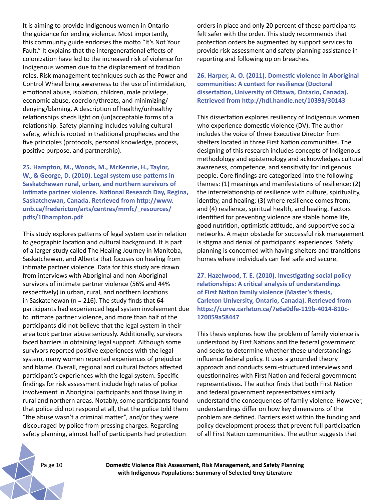It is aiming to provide Indigenous women in Ontario the guidance for ending violence. Most importantly, this community guide endorses the motto "It's Not Your Fault." It explains that the intergenerational effects of colonization have led to the increased risk of violence for Indigenous women due to the displacement of tradition roles. Risk management techniques such as the Power and Control Wheel bring awareness to the use of intimidation, emotional abuse, isolation, children, male privilege, economic abuse, coercion/threats, and minimizing/ denying/blaming. A description of healthy/unhealthy relationships sheds light on (un)acceptable forms of a relationship. Safety planning includes valuing cultural safety, which is rooted in traditional prophecies and the five principles (protocols, personal knowledge, process, positive purpose, and partnership).

**25. Hampton, M., Woods, M., McKenzie, H., Taylor, W., & George, D. (2010). Legal system use patterns in Saskatchewan rural, urban, and northern survivors of intimate partner violence. National Research Day, Regina, Saskatchewan, Canada. Retrieved from http://www. unb.ca/fredericton/arts/centres/mmfc/\_resources/ pdfs/10hampton.pdf** 

This study explores patterns of legal system use in relation to geographic location and cultural background. It is part of a larger study called The Healing Journey in Manitoba, Saskatchewan, and Alberta that focuses on healing from intimate partner violence. Data for this study are drawn from interviews with Aboriginal and non-Aboriginal survivors of intimate partner violence (56% and 44% respectively) in urban, rural, and northern locations in Saskatchewan ( $n = 216$ ). The study finds that 64 participants had experienced legal system involvement due to intimate partner violence, and more than half of the participants did not believe that the legal system in their area took partner abuse seriously. Additionally, survivors faced barriers in obtaining legal support. Although some survivors reported positive experiences with the legal system, many women reported experiences of prejudice and blame. Overall, regional and cultural factors affected participant's experiences with the legal system. Specific findings for risk assessment include high rates of police involvement in Aboriginal participants and those living in rural and northern areas. Notably, some participants found that police did not respond at all, that the police told them "the abuse wasn't a criminal matter", and/or they were discouraged by police from pressing charges. Regarding safety planning, almost half of participants had protection

orders in place and only 20 percent of these participants felt safer with the order. This study recommends that protection orders be augmented by support services to provide risk assessment and safety planning assistance in reporting and following up on breaches.

**26. Harper, A. O. (2011). Domestic violence in Aboriginal communities: A context for resilience (Doctoral dissertation, University of Ottawa, Ontario, Canada). Retrieved from http://hdl.handle.net/10393/30143**

This dissertation explores resiliency of Indigenous women who experience domestic violence (DV). The author includes the voice of three Executive Director from shelters located in three First Nation communities. The designing of this research includes concepts of Indigenous methodology and epistemology and acknowledges cultural awareness, competence, and sensitivity for Indigenous people. Core findings are categorized into the following themes: (1) meanings and manifestations of resilience; (2) the interrelationship of resilience with culture, spirituality, identity, and healing; (3) where resilience comes from; and (4) resilience, spiritual health, and healing. Factors identified for preventing violence are stable home life, good nutrition, optimistic attitude, and supportive social networks. A major obstacle for successful risk management is stigma and denial of participants' experiences. Safety planning is concerned with having shelters and transitions homes where individuals can feel safe and secure.

**27. Hazelwood, T. E. (2010). Investigating social policy relationships: A critical analysis of understandings of First Nation family violence (Master's thesis, Carleton University, Ontario, Canada). Retrieved from https://curve.carleton.ca/7e6a0dfe-119b-4014-810c-120059a58447**

This thesis explores how the problem of family violence is understood by First Nations and the federal government and seeks to determine whether these understandings influence federal policy. It uses a grounded theory approach and conducts semi-structured interviews and questionnaires with First Nation and federal government representatives. The author finds that both First Nation and federal government representatives similarly understand the consequences of family violence. However, understandings differ on how key dimensions of the problem are defined. Barriers exist within the funding and policy development process that prevent full participation of all First Nation communities. The author suggests that

Pa ge 10 **Domestic Violence Risk Assessment, Risk Management, and Safety Planning with Indigenous Populations: Summary of Selected Grey Literature**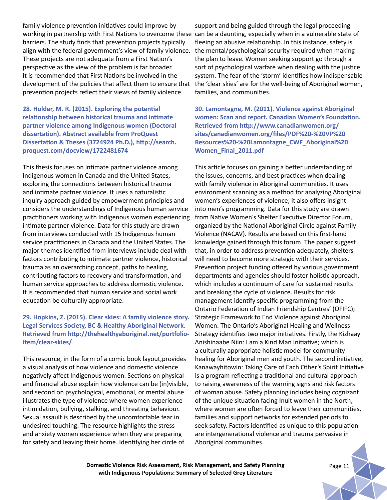family violence prevention initiatives could improve by working in partnership with First Nations to overcome these can be a daunting, especially when in a vulnerable state of barriers. The study finds that prevention projects typically align with the federal government's view of family violence. These projects are not adequate from a First Nation's perspective as the view of the problem is far broader. It is recommended that First Nations be involved in the development of the policies that affect them to ensure that prevention projects reflect their views of family violence.

**28. Holder, M. R. (2015). Exploring the potential relationship between historical trauma and intimate partner violence among Indigenous women (Doctoral dissertation). Abstract available from ProQuest Dissertation & Theses (3724924 Ph.D.), http://search. proquest.com/docview/1722481674**

This thesis focuses on intimate partner violence among Indigenous women in Canada and the United States, exploring the connections between historical trauma and intimate partner violence. It uses a naturalistic inquiry approach guided by empowerment principles and considers the understandings of Indigenous human service practitioners working with Indigenous women experiencing intimate partner violence. Data for this study are drawn from interviews conducted with 15 Indigenous human service practitioners in Canada and the United States. The major themes identified from interviews include deal with factors contributing to intimate partner violence, historical trauma as an overarching concept, paths to healing, contributing factors to recovery and transformation, and human service approaches to address domestic violence. It is recommended that human service and social work education be culturally appropriate.

## **29. Hopkins, Z. (2015). Clear skies: A family violence story. Legal Services Society, BC & Healthy Aboriginal Network. Retrieved from http://thehealthyaboriginal.net/portfolioitem/clear-skies/**

This resource, in the form of a comic book layout,provides a visual analysis of how violence and domestic violence negatively affect Indigenous women. Sections on physical and financial abuse explain how violence can be (in)visible, and second on psychological, emotional, or mental abuse illustrates the type of violence where women experience intimidation, bullying, stalking, and threating behaviour. Sexual assault is described by the uncomfortable fear in undesired touching. The resource highlights the stress and anxiety women experience when they are preparing for safety and leaving their home. Identifying her circle of

support and being guided through the legal proceeding fleeing an abusive relationship. In this instance, safety is the mental/psychological security required when making the plan to leave. Women seeking support go through a sort of psychological warfare when dealing with the justice system. The fear of the 'storm' identifies how indispensable the 'clear skies' are for the well-being of Aboriginal women, families, and communities.

**30. Lamontagne, M. (2011). Violence against Aboriginal women: Scan and report. Canadian Women's Foundation. Retrieved from http://www.canadianwomen.org/ sites/canadianwomen.org/files/PDF%20-%20VP%20 Resources%20-%20Lamontagne\_CWF\_Aboriginal%20 Women\_Final\_2011.pdf**

This article focuses on gaining a better understanding of the issues, concerns, and best practices when dealing with family violence in Aboriginal communities. It uses environment scanning as a method for analyzing Aboriginal women's experiences of violence; it also offers insight into men's programming. Data for this study are drawn from Native Women's Shelter Executive Director Forum, organized by the National Aboriginal Circle against Family Violence (NACAV). Results are based on this first-hand knowledge gained through this forum. The paper suggest that, in order to address prevention adequately, shelters will need to become more strategic with their services. Prevention project funding offered by various government departments and agencies should foster holistic approach, which includes a continuum of care for sustained results and breaking the cycle of violence. Results for risk management identify specific programming from the Ontario Federation of Indian Friendship Centres' (OFIFC); Strategic Framework to End Violence against Aboriginal Women. The Ontario's Aboriginal Healing and Wellness Strategy identifies two major initiatives. Firstly, the Kizhaay Anishinaabe Niin: I am a Kind Man Initiative; which is a culturally appropriate holistic model for community healing for Aboriginal men and youth. The second initiative, Kanawayhitowin: Taking Care of Each Other's Spirit Initiative is a program reflecting a traditional and cultural approach to raising awareness of the warning signs and risk factors of woman abuse. Safety planning includes being cognizant of the unique situation facing Inuit women in the North, where women are often forced to leave their communities, families and support networks for extended periods to seek safety. Factors identified as unique to this population are intergenerational violence and trauma pervasive in Aboriginal communities.

**Domestic Violence Risk Assessment, Risk Management, and Safety Planning** *Page 11* **with Indigenous Populations: Summary of Selected Grey Literature**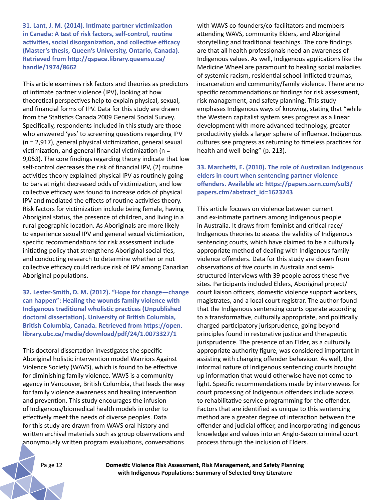**31. Lant, J. M. (2014). Intimate partner victimization in Canada: A test of risk factors, self-control, routine activities, social disorganization, and collective efficacy (Master's thesis, Queen's University, Ontario, Canada). Retrieved from http://qspace.library.queensu.ca/ handle/1974/8662**

This article examines risk factors and theories as predictors of intimate partner violence (IPV), looking at how theoretical perspectives help to explain physical, sexual, and financial forms of IPV. Data for this study are drawn from the Statistics Canada 2009 General Social Survey. Specifically, respondents included in this study are those who answered 'yes' to screening questions regarding IPV (n = 2,917), general physical victimization, general sexual victimization, and general financial victimization (n = 9,053). The core findings regarding theory indicate that low self-control decreases the risk of financial IPV, (2) routine activities theory explained physical IPV as routinely going to bars at night decreased odds of victimization, and low collective efficacy was found to increase odds of physical IPV and mediated the effects of routine activities theory. Risk factors for victimization include being female, having Aboriginal status, the presence of children, and living in a rural geographic location. As Aboriginals are more likely to experience sexual IPV and general sexual victimization, specific recommendations for risk assessment include initiating policy that strengthens Aboriginal social ties, and conducting research to determine whether or not collective efficacy could reduce risk of IPV among Canadian Aboriginal populations.

**32. Lester-Smith, D. M. (2012). "Hope for change—change can happen": Healing the wounds family violence with Indigenous traditional wholistic practices (Unpublished doctoral dissertation). University of British Columbia, British Columbia, Canada. Retrieved from https://open. library.ubc.ca/media/download/pdf/24/1.0073327/1**

This doctoral dissertation investigates the specific Aboriginal holistic intervention model Warriors Against Violence Society (WAVS), which is found to be effective for diminishing family violence. WAVS is a community agency in Vancouver, British Columbia, that leads the way for family violence awareness and healing intervention and prevention. This study encourages the infusion of Indigenous/biomedical health models in order to effectively meet the needs of diverse peoples. Data for this study are drawn from WAVS oral history and written archival materials such as group observations and anonymously written program evaluations, conversations

with WAVS co-founders/co-facilitators and members attending WAVS, community Elders, and Aboriginal storytelling and traditional teachings. The core findings are that all health professionals need an awareness of Indigenous values. As well, Indigenous applications like the Medicine Wheel are paramount to healing social maladies of systemic racism, residential school-inflicted traumas, incarceration and community/family violence. There are no specific recommendations or findings for risk assessment, risk management, and safety planning. This study emphases Indigenous ways of knowing, stating that "while the Western capitalist system sees progress as a linear development with more advanced technology, greater productivity yields a larger sphere of influence. Indigenous cultures see progress as returning to timeless practices for health and well-being" (p. 213).

## **33. Marchetti, E. (2010). The role of Australian Indigenous elders in court when sentencing partner violence offenders. Available at: https://papers.ssrn.com/sol3/ papers.cfm?abstract\_id=1623243**

This article focuses on violence between current and ex-intimate partners among Indigenous people in Australia. It draws from feminist and critical race/ Indigenous theories to assess the validity of Indigenous sentencing courts, which have claimed to be a culturally appropriate method of dealing with Indigenous family violence offenders. Data for this study are drawn from observations of five courts in Australia and semistructured interviews with 39 people across these five sites. Participants included Elders, Aboriginal project/ court liaison officers, domestic violence support workers, magistrates, and a local court registrar. The author found that the Indigenous sentencing courts operate according to a transformative, culturally appropriate, and politically charged participatory jurisprudence, going beyond principles found in restorative justice and therapeutic jurisprudence. The presence of an Elder, as a culturally appropriate authority figure, was considered important in assisting with changing offender behaviour. As well, the informal nature of Indigenous sentencing courts brought up information that would otherwise have not come to light. Specific recommendations made by interviewees for court processing of Indigenous offenders include access to rehabilitative service programming for the offender. Factors that are identified as unique to this sentencing method are a greater degree of interaction between the offender and judicial officer, and incorporating Indigenous knowledge and values into an Anglo-Saxon criminal court process through the inclusion of Elders.

Pa ge 12 **Domestic Violence Risk Assessment, Risk Management, and Safety Planning with Indigenous Populations: Summary of Selected Grey Literature**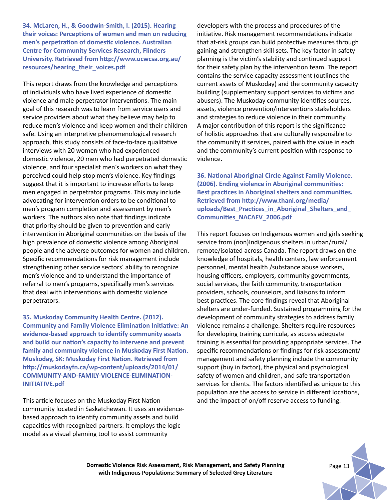**34. McLaren, H., & Goodwin-Smith, I. (2015). Hearing their voices: Perceptions of women and men on reducing men's perpetration of domestic violence. Australian Centre for Community Services Research, Flinders University. Retrieved from http://www.ucwcsa.org.au/ resources/hearing\_their\_voices.pdf**

This report draws from the knowledge and perceptions of individuals who have lived experience of domestic violence and male perpetrator interventions. The main goal of this research was to learn from service users and service providers about what they believe may help to reduce men's violence and keep women and their children safe. Using an interpretive phenomenological research approach, this study consists of face-to-face qualitative interviews with 20 women who had experienced domestic violence, 20 men who had perpetrated domestic violence, and four specialist men's workers on what they perceived could help stop men's violence. Key findings suggest that it is important to increase efforts to keep men engaged in perpetrator programs. This may include advocating for intervention orders to be conditional to men's program completion and assessment by men's workers. The authors also note that findings indicate that priority should be given to prevention and early intervention in Aboriginal communities on the basis of the high prevalence of domestic violence among Aboriginal people and the adverse outcomes for women and children. Specific recommendations for risk management include strengthening other service sectors' ability to recognize men's violence and to understand the importance of referral to men's programs, specifically men's services that deal with interventions with domestic violence perpetrators.

**35. Muskoday Community Health Centre. (2012). Community and Family Violence Elimination Initiative: An evidence-based approach to identify community assets and build our nation's capacity to intervene and prevent family and community violence in Muskoday First Nation. Muskoday, SK: Muskoday First Nation. Retrieved from http://muskodayfn.ca/wp-content/uploads/2014/01/ COMMUNITY-AND-FAMILY-VIOLENCE-ELIMINATION-INITIATIVE.pdf** 

This article focuses on the Muskoday First Nation community located in Saskatchewan. It uses an evidencebased approach to identify community assets and build capacities with recognized partners. It employs the logic model as a visual planning tool to assist community

developers with the process and procedures of the initiative. Risk management recommendations indicate that at-risk groups can build protective measures through gaining and strengthen skill sets. The key factor in safety planning is the victim's stability and continued support for their safety plan by the intervention team. The report contains the service capacity assessment (outlines the current assets of Muskoday) and the community capacity building (supplementary support services to victims and abusers). The Muskoday community identifies sources, assets, violence prevention/interventions stakeholders and strategies to reduce violence in their community. A major contribution of this report is the significance of holistic approaches that are culturally responsible to the community it services, paired with the value in each and the community's current position with response to violence.

**36. National Aboriginal Circle Against Family Violence. (2006). Ending violence in Aboriginal communities: Best practices in Aboriginal shelters and communities. Retrieved from http://www.thanl.org/media/ uploads/Best\_Practices\_in\_Aboriginal\_Shelters\_and\_ Communities\_NACAFV\_2006.pdf** 

This report focuses on Indigenous women and girls seeking service from (non)Indigenous shelters in urban/rural/ remote/isolated across Canada. The report draws on the knowledge of hospitals, health centers, law enforcement personnel, mental health /substance abuse workers, housing officers, employers, community governments, social services, the faith community, transportation providers, schools, counselors, and liaisons to inform best practices. The core findings reveal that Aboriginal shelters are under-funded. Sustained programming for the development of community strategies to address family violence remains a challenge. Shelters require resources for developing training curricula, as access adequate training is essential for providing appropriate services. The specific recommendations or findings for risk assessment/ management and safety planning include the community support (buy in factor), the physical and psychological safety of women and children, and safe transportation services for clients. The factors identified as unique to this population are the access to service in different locations, and the impact of on/off reserve access to funding.

**Domestic Violence Risk Assessment, Risk Management, and Safety Planning** *Page 13* **with Indigenous Populations: Summary of Selected Grey Literature**

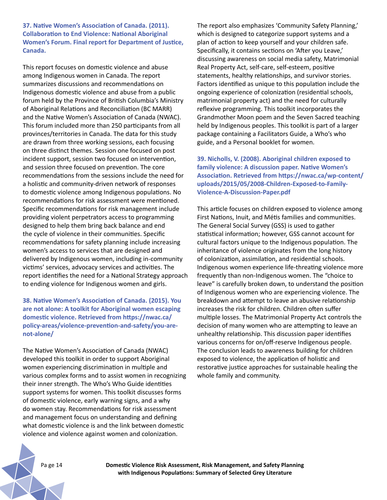**37. Native Women's Association of Canada. (2011). Collaboration to End Violence: National Aboriginal Women's Forum. Final report for Department of Justice, Canada.** 

This report focuses on domestic violence and abuse among Indigenous women in Canada. The report summarizes discussions and recommendations on Indigenous domestic violence and abuse from a public forum held by the Province of British Columbia's Ministry of Aboriginal Relations and Reconciliation (BC MARR) and the Native Women's Association of Canada (NWAC). This forum included more than 250 participants from all provinces/territories in Canada. The data for this study are drawn from three working sessions, each focusing on three distinct themes. Session one focused on post incident support, session two focused on intervention, and session three focused on prevention. The core recommendations from the sessions include the need for a holistic and community-driven network of responses to domestic violence among Indigenous populations. No recommendations for risk assessment were mentioned. Specific recommendations for risk management include providing violent perpetrators access to programming designed to help them bring back balance and end the cycle of violence in their communities. Specific recommendations for safety planning include increasing women's access to services that are designed and delivered by Indigenous women, including in-community victims' services, advocacy services and activities. The report identifies the need for a National Strategy approach to ending violence for Indigenous women and girls.

**38. Native Women's Association of Canada. (2015). You are not alone: A toolkit for Aboriginal women escaping domestic violence. Retrieved from https://nwac.ca/ policy-areas/violence-prevention-and-safety/you-arenot-alone/**

The Native Women's Association of Canada (NWAC) developed this toolkit in order to support Aboriginal women experiencing discrimination in multiple and various complex forms and to assist women in recognizing their inner strength. The Who's Who Guide identities support systems for women. This toolkit discusses forms of domestic violence, early warning signs, and a why do women stay. Recommendations for risk assessment and management focus on understanding and defining what domestic violence is and the link between domestic violence and violence against women and colonization.

The report also emphasizes 'Community Safety Planning,' which is designed to categorize support systems and a plan of action to keep yourself and your children safe. Specifically, it contains sections on 'After you Leave,' discussing awareness on social media safety, Matrimonial Real Property Act, self-care, self-esteem, positive statements, healthy relationships, and survivor stories. Factors identified as unique to this population include the ongoing experience of colonization (residential schools, matrimonial property act) and the need for culturally reflexive programming. This toolkit incorporates the Grandmother Moon poem and the Seven Sacred teaching held by Indigenous peoples. This toolkit is part of a larger package containing a Facilitators Guide, a Who's who guide, and a Personal booklet for women.

**39. Nicholls, V. (2008). Aboriginal children exposed to family violence: A discussion paper. Native Women's Association. Retrieved from https://nwac.ca/wp-content/ uploads/2015/05/2008-Children-Exposed-to-Family-Violence-A-Discussion-Paper.pdf** 

This article focuses on children exposed to violence among First Nations, Inuit, and Métis families and communities. The General Social Survey (GSS) is used to gather statistical information; however, GSS cannot account for cultural factors unique to the Indigenous population. The inheritance of violence originates from the long history of colonization, assimilation, and residential schools. Indigenous women experience life-threating violence more frequently than non-Indigenous women. The "choice to leave" is carefully broken down, to understand the position of Indigenous women who are experiencing violence. The breakdown and attempt to leave an abusive relationship increases the risk for children. Children often suffer multiple losses. The Matrimonial Property Act controls the decision of many women who are attempting to leave an unhealthy relationship. This discussion paper identifies various concerns for on/off-reserve Indigenous people. The conclusion leads to awareness building for children exposed to violence, the application of holistic and restorative justice approaches for sustainable healing the whole family and community.

Pa ge 14 **Domestic Violence Risk Assessment, Risk Management, and Safety Planning with Indigenous Populations: Summary of Selected Grey Literature**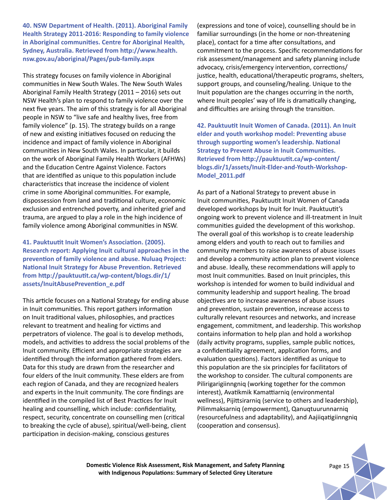**40. NSW Department of Health. (2011). Aboriginal Family Health Strategy 2011-2016: Responding to family violence in Aboriginal communities. Centre for Aboriginal Health, Sydney, Australia. Retrieved from http://www.health. nsw.gov.au/aboriginal/Pages/pub-family.aspx** 

This strategy focuses on family violence in Aboriginal communities in New South Wales. The New South Wales Aboriginal Family Health Strategy (2011 – 2016) sets out NSW Health's plan to respond to family violence over the next five years. The aim of this strategy is for all Aboriginal people in NSW to "live safe and healthy lives, free from family violence" (p. 15). The strategy builds on a range of new and existing initiatives focused on reducing the incidence and impact of family violence in Aboriginal communities in New South Wales. In particular, it builds on the work of Aboriginal Family Health Workers (AFHWs) and the Education Centre Against Violence. Factors that are identified as unique to this population include characteristics that increase the incidence of violent crime in some Aboriginal communities. For example, dispossession from land and traditional culture, economic exclusion and entrenched poverty, and inherited grief and trauma, are argued to play a role in the high incidence of family violence among Aboriginal communities in NSW.

**41. Pauktuutit Inuit Women's Association. (2005). Research report: Applying Inuit cultural approaches in the prevention of family violence and abuse. Nuluaq Project: National Inuit Strategy for Abuse Prevention. Retrieved from http://pauktuutit.ca/wp-content/blogs.dir/1/ assets/InuitAbusePrevention\_e.pdf**

This article focuses on a National Strategy for ending abuse in Inuit communities. This report gathers information on Inuit traditional values, philosophies, and practices relevant to treatment and healing for victims and perpetrators of violence. The goal is to develop methods, models, and activities to address the social problems of the Inuit community. Efficient and appropriate strategies are identified through the information gathered from elders. Data for this study are drawn from the researcher and four elders of the Inuit community. These elders are from each region of Canada, and they are recognized healers and experts in the Inuit community. The core findings are identified in the compiled list of Best Practices for Inuit healing and counselling, which include: confidentiality, respect, security, concentrate on counselling men (critical to breaking the cycle of abuse), spiritual/well-being, client participation in decision-making, conscious gestures

(expressions and tone of voice), counselling should be in familiar surroundings (in the home or non-threatening place), contact for a time after consultations, and commitment to the process. Specific recommendations for risk assessment/management and safety planning include advocacy, crisis/emergency intervention, corrections/ justice, health, educational/therapeutic programs, shelters, support groups, and counseling/healing. Unique to the Inuit population are the changes occurring in the north, where Inuit peoples' way of life is dramatically changing, and difficulties are arising through the transition.

**42. Pauktuutit Inuit Women of Canada. (2011). An Inuit elder and youth workshop model: Preventing abuse through supporting women's leadership. National Strategy to Prevent Abuse in Inuit Communities. Retrieved from http://pauktuutit.ca/wp-content/ blogs.dir/1/assets/Inuit-Elder-and-Youth-Workshop-Model\_2011.pdf** 

As part of a National Strategy to prevent abuse in Inuit communities, Pauktuutit Inuit Women of Canada developed workshops by Inuit for Inuit. Pauktuutit's ongoing work to prevent violence and ill-treatment in Inuit communities guided the development of this workshop. The overall goal of this workshop is to create leadership among elders and youth to reach out to families and community members to raise awareness of abuse issues and develop a community action plan to prevent violence and abuse. Ideally, these recommendations will apply to most Inuit communities. Based on Inuit principles, this workshop is intended for women to build individual and community leadership and support healing. The broad objectives are to increase awareness of abuse issues and prevention, sustain prevention, increase access to culturally relevant resources and networks, and increase engagement, commitment, and leadership. This workshop contains information to help plan and hold a workshop (daily activity programs, supplies, sample public notices, a confidentiality agreement, application forms, and evaluation questions). Factors identified as unique to this population are the six principles for facilitators of the workshop to consider. The cultural components are Pilirigarigiinngniq (working together for the common interest), Avatikmik Kamattiarniq (environmental wellness), Pijittsirarniq (service to others and leadership), Pilimmaksarniq (empowerment), Qanuqtuurunnarniq (resourcefulness and adaptability), and Aajiiqatigiinngniq (cooperation and consensus).

**Domestic Violence Risk Assessment, Risk Management, and Safety Planning** *Page 15* **with Indigenous Populations: Summary of Selected Grey Literature**

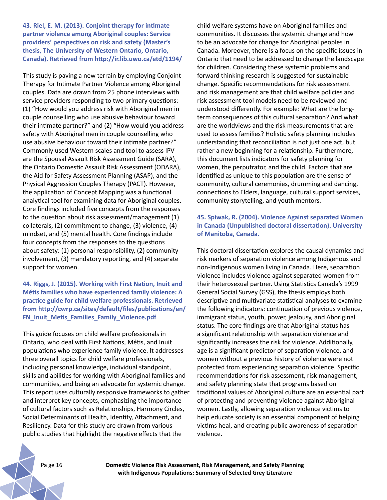**43. Riel, E. M. (2013). Conjoint therapy for intimate partner violence among Aboriginal couples: Service providers' perspectives on risk and safety (Master's thesis, The University of Western Ontario, Ontario, Canada). Retrieved from http://ir.lib.uwo.ca/etd/1194/**

This study is paving a new terrain by employing Conjoint Therapy for Intimate Partner Violence among Aboriginal couples. Data are drawn from 25 phone interviews with service providers responding to two primary questions: (1) "How would you address risk with Aboriginal men in couple counselling who use abusive behaviour toward their intimate partner?" and (2) "How would you address safety with Aboriginal men in couple counselling who use abusive behaviour toward their intimate partner?" Commonly used Western scales and tool to assess IPV are the Spousal Assault Risk Assessment Guide (SARA), the Ontario Domestic Assault Risk Assessment (ODARA), the Aid for Safety Assessment Planning (ASAP), and the Physical Aggression Couples Therapy (PACT). However, the application of Concept Mapping was a functional analytical tool for examining data for Aboriginal couples. Core findings included five concepts from the responses to the question about risk assessment/management (1) collaterals, (2) commitment to change, (3) violence, (4) mindset, and (5) mental health. Core findings include four concepts from the responses to the questions about safety: (1) personal responsibility, (2) community involvement, (3) mandatory reporting, and (4) separate support for women.

**44. Riggs, J. (2015). Working with First Nation, Inuit and Métis families who have experienced family violence: A practice guide for child welfare professionals. Retrieved from http://cwrp.ca/sites/default/files/publications/en/ FN\_Inuit\_Metis\_Families\_Family\_Violence.pdf** 

This guide focuses on child welfare professionals in Ontario, who deal with First Nations, Métis, and Inuit populations who experience family violence. It addresses three overall topics for child welfare professionals, including personal knowledge, individual standpoint, skills and abilities for working with Aboriginal families and communities, and being an advocate for systemic change. This report uses culturally responsive frameworks to gather and interpret key concepts, emphasizing the importance of cultural factors such as Relationships, Harmony Circles, Social Determinants of Health, Identity, Attachment, and Resiliency. Data for this study are drawn from various public studies that highlight the negative effects that the

child welfare systems have on Aboriginal families and communities. It discusses the systemic change and how to be an advocate for change for Aboriginal peoples in Canada. Moreover, there is a focus on the specific issues in Ontario that need to be addressed to change the landscape for children. Considering these systemic problems and forward thinking research is suggested for sustainable change. Specific recommendations for risk assessment and risk management are that child welfare policies and risk assessment tool models need to be reviewed and understood differently. For example: What are the longterm consequences of this cultural separation? And what are the worldviews and the risk measurements that are used to assess families? Holistic safety planning includes understanding that reconciliation is not just one act, but rather a new beginning for a relationship. Furthermore, this document lists indicators for safety planning for women, the perputrator, and the child. Factors that are identified as unique to this population are the sense of community, cultural ceremonies, drumming and dancing, connections to Elders, language, cultural support services, community storytelling, and youth mentors.

## **45. Spiwak, R. (2004). Violence Against separated Women in Canada (Unpublished doctoral dissertation). University of Manitoba, Canada.**

This doctoral dissertation explores the causal dynamics and risk markers of separation violence among Indigenous and non-Indigenous women living in Canada. Here, separation violence includes violence against separated women from their heterosexual partner. Using Statistics Canada's 1999 General Social Survey (GSS), the thesis employs both descriptive and multivariate statistical analyses to examine the following indicators: continuation of previous violence, immigrant status, youth, power, jealousy, and Aboriginal status. The core findings are that Aboriginal status has a significant relationship with separation violence and significantly increases the risk for violence. Additionally, age is a significant predictor of separation violence, and women without a previous history of violence were not protected from experiencing separation violence. Specific recommendations for risk assessment, risk management, and safety planning state that programs based on traditional values of Aboriginal culture are an essential part of protecting and preventing violence against Aboriginal women. Lastly, allowing separation violence victims to help educate society is an essential component of helping victims heal, and creating public awareness of separation violence.

Pa ge 16 **Domestic Violence Risk Assessment, Risk Management, and Safety Planning with Indigenous Populations: Summary of Selected Grey Literature**